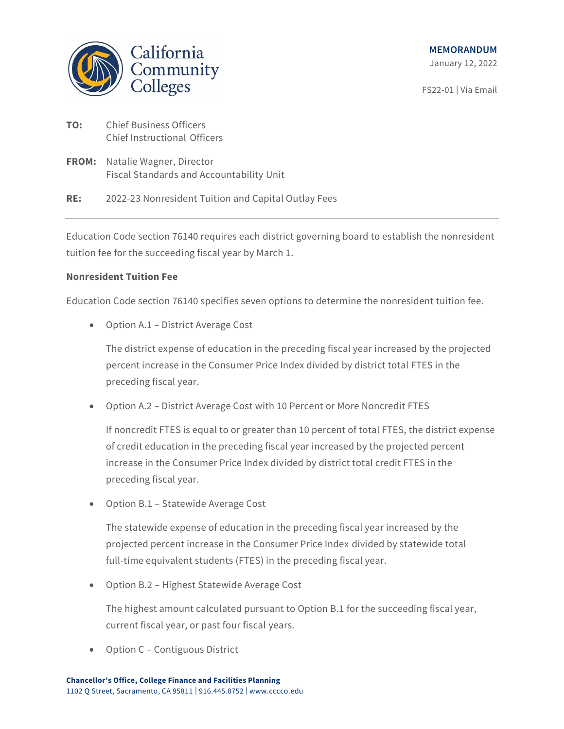

FS22-01 | Via Email

- **TO:** Chief Business Officers Chief Instructional Officers
- **FROM:** Natalie Wagner, Director Fiscal Standards and Accountability Unit

# **RE:** 2022-23 Nonresident Tuition and Capital Outlay Fees

Education Code section 76140 requires each district governing board to establish the nonresident tuition fee for the succeeding fiscal year by March 1.

# **Nonresident Tuition Fee**

Education Code section 76140 specifies seven options to determine the nonresident tuition fee.

• Option A.1 – District Average Cost

The district expense of education in the preceding fiscal year increased by the projected percent increase in the Consumer Price Index divided by district total FTES in the preceding fiscal year.

• Option A.2 – District Average Cost with 10 Percent or More Noncredit FTES

If noncredit FTES is equal to or greater than 10 percent of total FTES, the district expense of credit education in the preceding fiscal year increased by the projected percent increase in the Consumer Price Index divided by district total credit FTES in the preceding fiscal year.

• Option B.1 – Statewide Average Cost

The statewide expense of education in the preceding fiscal year increased by the projected percent increase in the Consumer Price Index divided by statewide total full-time equivalent students (FTES) in the preceding fiscal year.

• Option B.2 – Highest Statewide Average Cost

The highest amount calculated pursuant to Option B.1 for the succeeding fiscal year, current fiscal year, or past four fiscal years.

• Option C – Contiguous District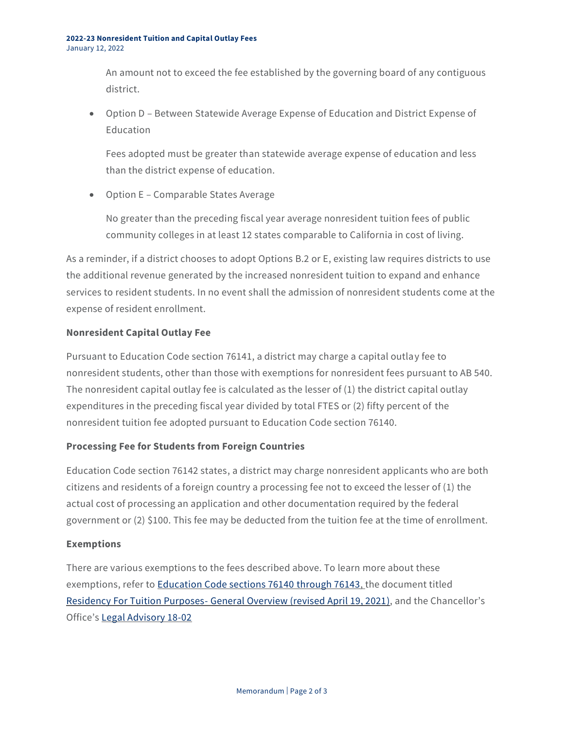An amount not to exceed the fee established by the governing board of any contiguous district.

• Option D – Between Statewide Average Expense of Education and District Expense of **Education** 

Fees adopted must be greater than statewide average expense of education and less than the district expense of education.

• Option E – Comparable States Average

No greater than the preceding fiscal year average nonresident tuition fees of public community colleges in at least 12 states comparable to California in cost of living.

As a reminder, if a district chooses to adopt Options B.2 or E, existing law requires districts to use the additional revenue generated by the increased nonresident tuition to expand and enhance services to resident students. In no event shall the admission of nonresident students come at the expense of resident enrollment.

### **Nonresident Capital Outlay Fee**

Pursuant to Education Code section 76141, a district may charge a capital outlay fee to nonresident students, other than those with exemptions for nonresident fees pursuant to AB 540. The nonresident capital outlay fee is calculated as the lesser of (1) the district capital outlay expenditures in the preceding fiscal year divided by total FTES or (2) fifty percent of the nonresident tuition fee adopted pursuant to Education Code section 76140.

### **Processing Fee for Students from Foreign Countries**

Education Code section 76142 states, a district may charge nonresident applicants who are both citizens and residents of a foreign country a processing fee not to exceed the lesser of (1) the actual cost of processing an application and other documentation required by the federal government or (2) \$100. This fee may be deducted from the tuition fee at the time of enrollment.

### **Exemptions**

There are various exemptions to the fees described above. To learn more about these exemptions, refer to [Education Code sections 76140](https://leginfo.legislature.ca.gov/faces/selectFromMultiples.xhtml?lawCode=EDC§ionNum=76140) through 76143, the document titled Residency For Tuition Purposes- [General Overview \(revised April 19, 2021\),](https://www.cccco.edu/-/media/CCCCO-Website/College-Finance-and-Facilities/Attendance-Acctg-Residency/April-2021/2021residencyoverviewdocument4202021a11y.pdf?la=en&hash=AFAEE5E999AB59D6CA508557B9B238E643E2C8D5) and the Chancellor's Office's [Legal Advisory 18-02](https://www.cccco.edu/-/media/CCCCO-Website/Files/General-Counsel/x_1802nonresidenttuitionadvisoryada.ashx?la=en&hash=650D739C949BA613EB5E63CEE7722BF3043B9728)